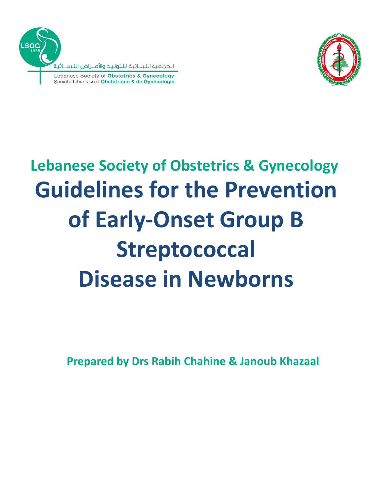



# **Guidelines for the Prevention of Early-Onset Group B Streptococcal Disease in Newborns Lebanese Society of Obstetrics & Gynecology**

**Prepared by Drs Rabih Chahine & Janoub Khazaal**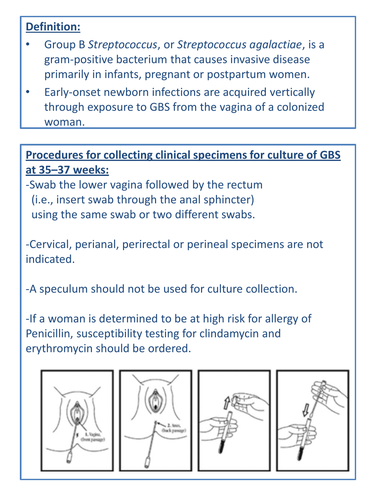#### **Definition:**

- Group B *Streptococcus*, or *Streptococcus agalactiae*, is a gram-positive bacterium that causes invasive disease primarily in infants, pregnant or postpartum women.
- Early-onset newborn infections are acquired vertically through exposure to GBS from the vagina of a colonized woman.

#### **Procedures for collecting clinical specimens for culture of GBS at 35–37 weeks:**

-Swab the lower vagina followed by the rectum (i.e., insert swab through the anal sphincter) using the same swab or two different swabs.

-Cervical, perianal, perirectal or perineal specimens are not indicated.

-A speculum should not be used for culture collection.

-If a woman is determined to be at high risk for allergy of Penicillin, susceptibility testing for clindamycin and erythromycin should be ordered.







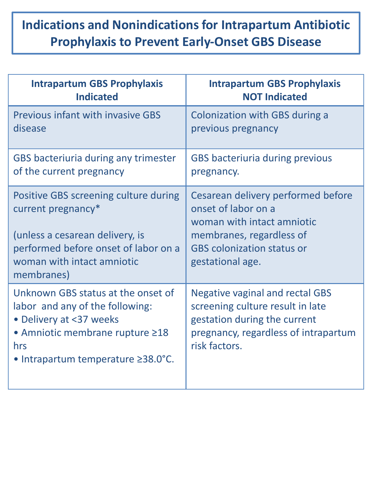## **Indications and Nonindications for Intrapartum Antibiotic Prophylaxis to Prevent Early-Onset GBS Disease**

| <b>Intrapartum GBS Prophylaxis</b>                                                                                                                                               | <b>Intrapartum GBS Prophylaxis</b>                                                                                                                                  |
|----------------------------------------------------------------------------------------------------------------------------------------------------------------------------------|---------------------------------------------------------------------------------------------------------------------------------------------------------------------|
| <b>Indicated</b>                                                                                                                                                                 | <b>NOT Indicated</b>                                                                                                                                                |
| Previous infant with invasive GBS                                                                                                                                                | <b>Colonization with GBS during a</b>                                                                                                                               |
| disease                                                                                                                                                                          | previous pregnancy                                                                                                                                                  |
| GBS bacteriuria during any trimester                                                                                                                                             | <b>GBS bacteriuria during previous</b>                                                                                                                              |
| of the current pregnancy                                                                                                                                                         | pregnancy.                                                                                                                                                          |
| Positive GBS screening culture during                                                                                                                                            | Cesarean delivery performed before                                                                                                                                  |
| current pregnancy*                                                                                                                                                               | onset of labor on a                                                                                                                                                 |
| (unless a cesarean delivery, is                                                                                                                                                  | woman with intact amniotic                                                                                                                                          |
| performed before onset of labor on a                                                                                                                                             | membranes, regardless of                                                                                                                                            |
| woman with intact amniotic                                                                                                                                                       | <b>GBS</b> colonization status or                                                                                                                                   |
| membranes)                                                                                                                                                                       | gestational age.                                                                                                                                                    |
| Unknown GBS status at the onset of<br>labor and any of the following:<br>• Delivery at <37 weeks<br>• Amniotic membrane rupture ≥18<br>hrs<br>• Intrapartum temperature 238.0°C. | <b>Negative vaginal and rectal GBS</b><br>screening culture result in late<br>gestation during the current<br>pregnancy, regardless of intrapartum<br>risk factors. |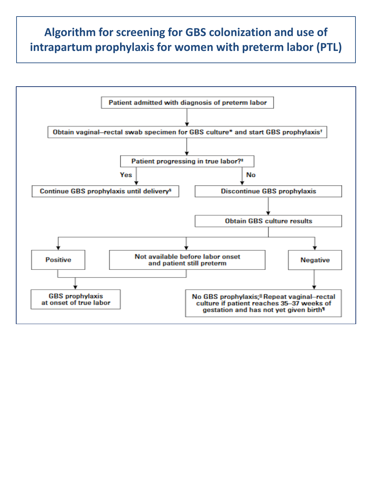#### **Algorithm for screening for GBS colonization and use of intrapartum prophylaxis for women with preterm labor (PTL)**

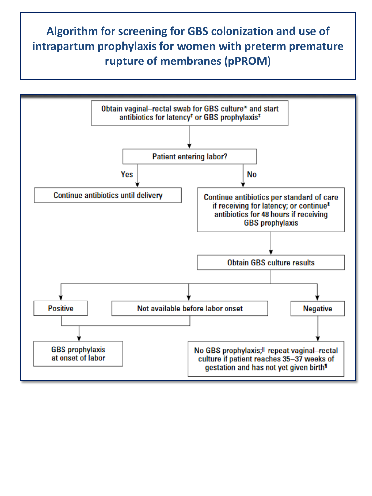### **Algorithm for screening for GBS colonization and use of intrapartum prophylaxis for women with preterm premature rupture of membranes (pPROM)**